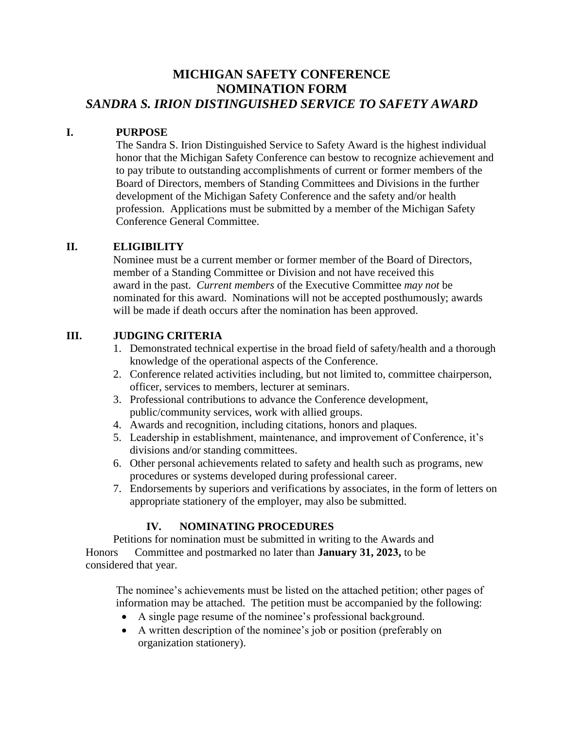## **MICHIGAN SAFETY CONFERENCE NOMINATION FORM** *SANDRA S. IRION DISTINGUISHED SERVICE TO SAFETY AWARD*

### **I. PURPOSE**

The Sandra S. Irion Distinguished Service to Safety Award is the highest individual honor that the Michigan Safety Conference can bestow to recognize achievement and to pay tribute to outstanding accomplishments of current or former members of the Board of Directors, members of Standing Committees and Divisions in the further development of the Michigan Safety Conference and the safety and/or health profession. Applications must be submitted by a member of the Michigan Safety Conference General Committee.

### **II. ELIGIBILITY**

Nominee must be a current member or former member of the Board of Directors, member of a Standing Committee or Division and not have received this award in the past. *Current members* of the Executive Committee *may not* be nominated for this award. Nominations will not be accepted posthumously; awards will be made if death occurs after the nomination has been approved.

### **III. JUDGING CRITERIA**

- 1. Demonstrated technical expertise in the broad field of safety/health and a thorough knowledge of the operational aspects of the Conference.
- 2. Conference related activities including, but not limited to, committee chairperson, officer, services to members, lecturer at seminars.
- 3. Professional contributions to advance the Conference development, public/community services, work with allied groups.
- 4. Awards and recognition, including citations, honors and plaques.
- 5. Leadership in establishment, maintenance, and improvement of Conference, it's divisions and/or standing committees.
- 6. Other personal achievements related to safety and health such as programs, new procedures or systems developed during professional career.
- 7. Endorsements by superiors and verifications by associates, in the form of letters on appropriate stationery of the employer, may also be submitted.

### **IV. NOMINATING PROCEDURES**

Petitions for nomination must be submitted in writing to the Awards and Honors Committee and postmarked no later than **January 31, 2023,** to be considered that year.

 The nominee's achievements must be listed on the attached petition; other pages of information may be attached. The petition must be accompanied by the following:

- A single page resume of the nominee's professional background.
- A written description of the nominee's job or position (preferably on organization stationery).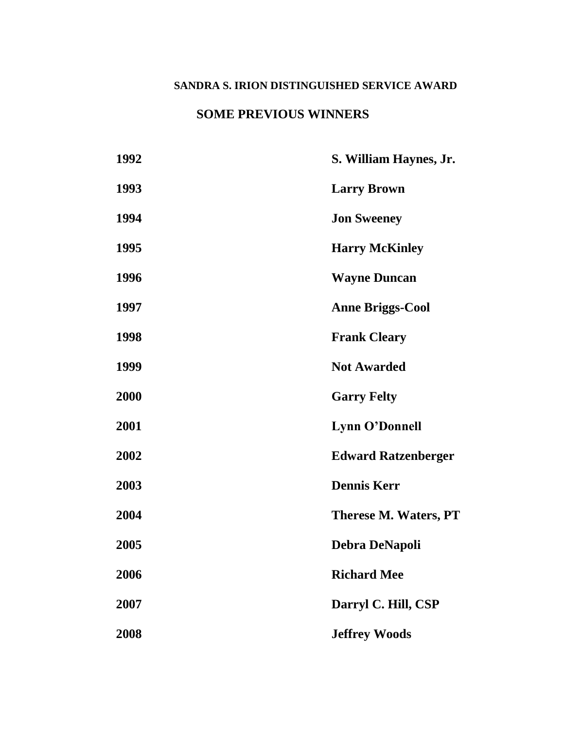## **SANDRA S. IRION DISTINGUISHED SERVICE AWARD**

## **SOME PREVIOUS WINNERS**

| 1992 | S. William Haynes, Jr.     |
|------|----------------------------|
| 1993 | <b>Larry Brown</b>         |
| 1994 | <b>Jon Sweeney</b>         |
| 1995 | <b>Harry McKinley</b>      |
| 1996 | <b>Wayne Duncan</b>        |
| 1997 | <b>Anne Briggs-Cool</b>    |
| 1998 | <b>Frank Cleary</b>        |
| 1999 | <b>Not Awarded</b>         |
| 2000 | <b>Garry Felty</b>         |
| 2001 | Lynn O'Donnell             |
| 2002 | <b>Edward Ratzenberger</b> |
| 2003 | <b>Dennis Kerr</b>         |
| 2004 | Therese M. Waters, PT      |
| 2005 | <b>Debra DeNapoli</b>      |
| 2006 | <b>Richard Mee</b>         |
| 2007 | Darryl C. Hill, CSP        |
| 2008 | <b>Jeffrey Woods</b>       |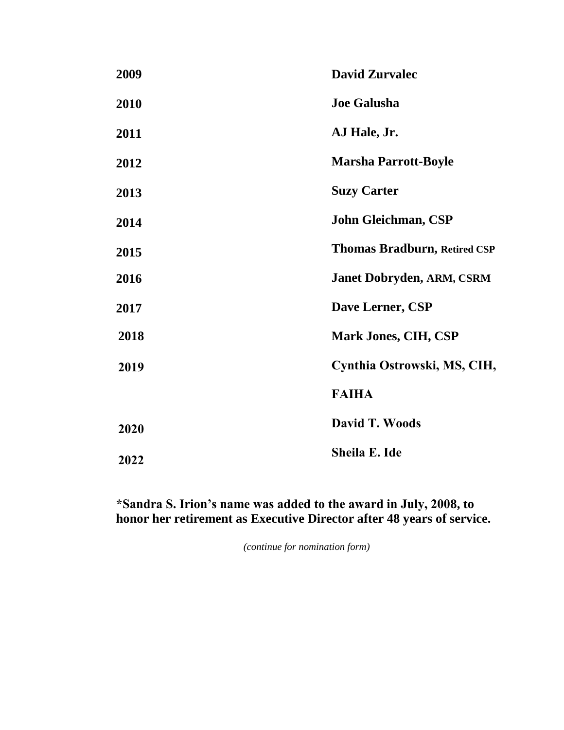| 2009 | <b>David Zurvalec</b>               |
|------|-------------------------------------|
| 2010 | <b>Joe Galusha</b>                  |
| 2011 | AJ Hale, Jr.                        |
| 2012 | <b>Marsha Parrott-Boyle</b>         |
| 2013 | <b>Suzy Carter</b>                  |
| 2014 | John Gleichman, CSP                 |
| 2015 | <b>Thomas Bradburn, Retired CSP</b> |
| 2016 | <b>Janet Dobryden, ARM, CSRM</b>    |
| 2017 | Dave Lerner, CSP                    |
| 2018 | Mark Jones, CIH, CSP                |
| 2019 | Cynthia Ostrowski, MS, CIH,         |
|      | <b>FAIHA</b>                        |
| 2020 | David T. Woods                      |
| 2022 | Sheila E. Ide                       |

# **\*Sandra S. Irion's name was added to the award in July, 2008, to honor her retirement as Executive Director after 48 years of service.**

*(continue for nomination form)*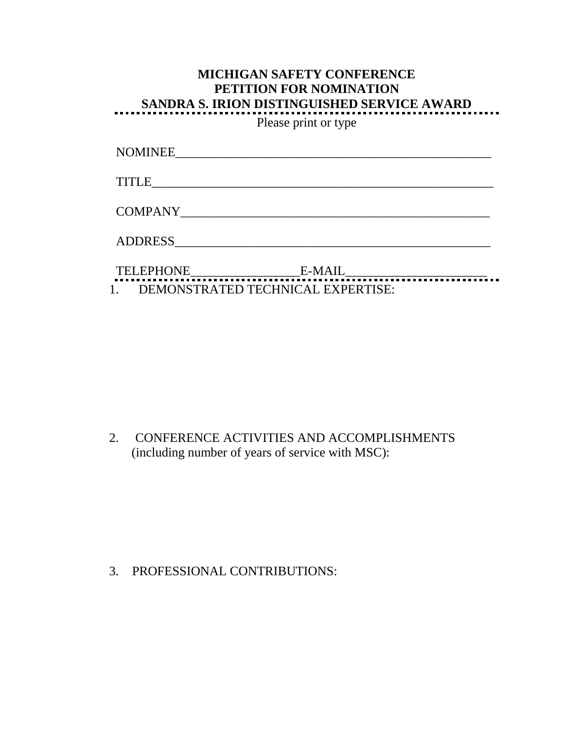| <b>MICHIGAN SAFETY CONFERENCE</b><br><b>PETITION FOR NOMINATION</b><br><b>SANDRA S. IRION DISTINGUISHED SERVICE AWARD</b> |  |
|---------------------------------------------------------------------------------------------------------------------------|--|
| Please print or type                                                                                                      |  |
| NOMINEE                                                                                                                   |  |
| <b>TITLE</b>                                                                                                              |  |
| <b>COMPANY</b>                                                                                                            |  |
| ADDRESS                                                                                                                   |  |
| 'ELEPHONE<br>E-MAIL                                                                                                       |  |
| 1. DEMONSTRATED TECHNICAL EXPERTISE:                                                                                      |  |

2. CONFERENCE ACTIVITIES AND ACCOMPLISHMENTS (including number of years of service with MSC):

3. PROFESSIONAL CONTRIBUTIONS: